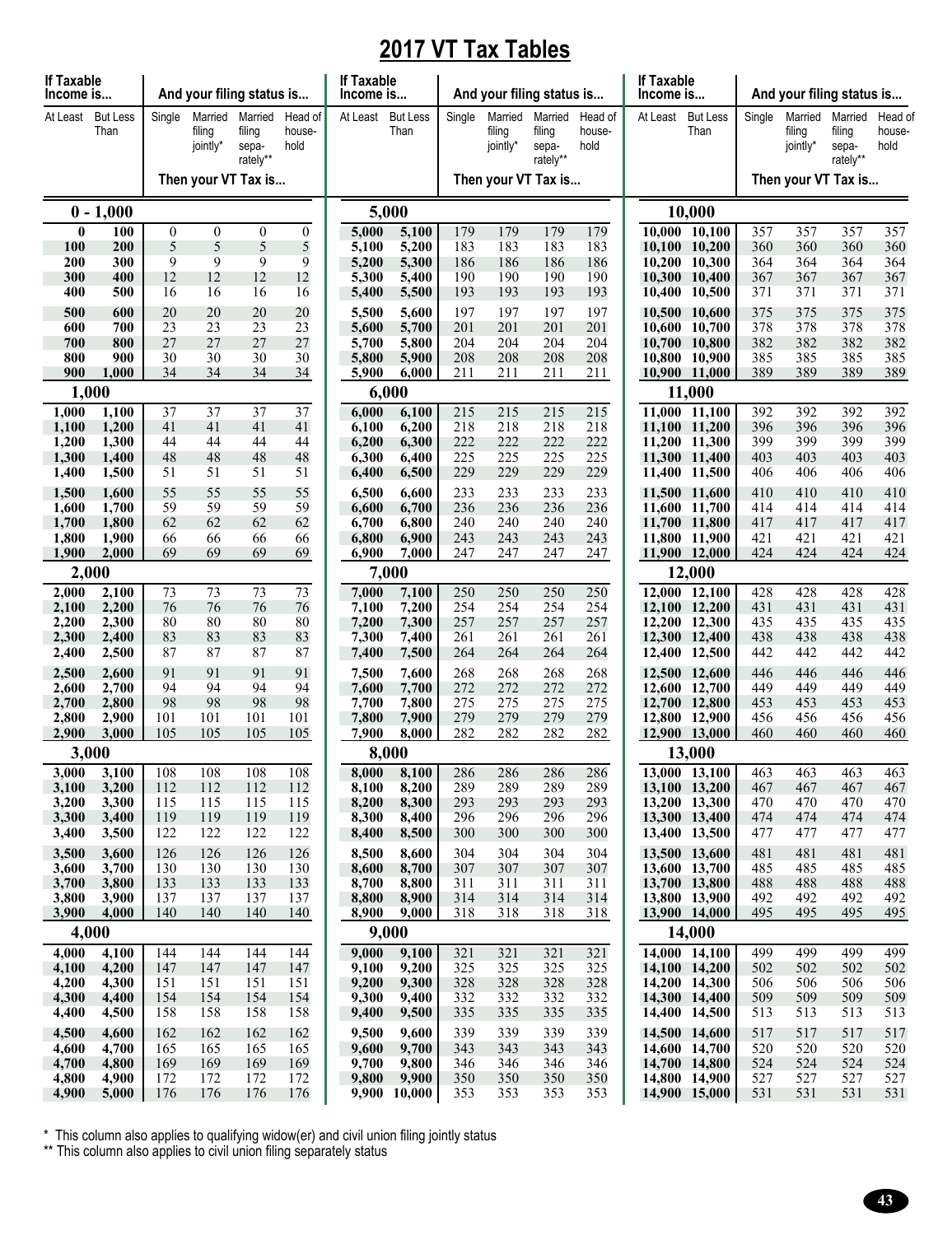## **2017 VT Tax Tables**

| If Taxable<br>Income is |                         |                  |                               | And your filing status is              |                           | If Taxable<br>Income is |                         |                         | And your filing status is     |                                        |                           | If Taxable<br>Income is |                                |            | And your filing status is     |                                        |                           |  |
|-------------------------|-------------------------|------------------|-------------------------------|----------------------------------------|---------------------------|-------------------------|-------------------------|-------------------------|-------------------------------|----------------------------------------|---------------------------|-------------------------|--------------------------------|------------|-------------------------------|----------------------------------------|---------------------------|--|
| At Least                | <b>But Less</b><br>Than | Single           | Married<br>filing<br>jointly* | Married<br>filing<br>sepa-<br>rately** | Head of<br>house-<br>hold | At Least                | <b>But Less</b><br>Than | Single                  | Married<br>filing<br>jointly* | Married<br>filing<br>sepa-<br>rately** | Head of<br>house-<br>hold | At Least                | <b>But Less</b><br>Than        | Single     | Married<br>filing<br>jointly* | Married<br>filing<br>sepa-<br>rately** | Head of<br>house-<br>hold |  |
| Then your VT Tax is     |                         |                  |                               |                                        |                           | Then your VT Tax is     |                         |                         | Then your VT Tax is           |                                        |                           |                         |                                |            |                               |                                        |                           |  |
|                         | $0 - 1,000$             |                  |                               |                                        |                           |                         | 5,000                   |                         |                               |                                        |                           | 10,000                  |                                |            |                               |                                        |                           |  |
| $\bf{0}$                | 100                     | $\boldsymbol{0}$ | $\mathbf{0}$                  | $\mathbf{0}$                           | $\boldsymbol{0}$          | 5,000                   | 5,100                   | 179                     | 179                           | 179                                    | 179                       |                         | 10,000 10,100                  | 357        | 357                           | 357                                    | 357                       |  |
| 100<br>200              | 200<br>300              | 5<br>9           | 5<br>9                        | 5<br>9                                 | 5<br>9                    | 5,100<br>5,200          | 5,200<br>5,300          | 183<br>186              | 183<br>186                    | 183<br>186                             | 183<br>186                |                         | 10,100 10,200<br>10,200 10,300 | 360<br>364 | 360<br>364                    | 360<br>364                             | 360<br>364                |  |
| 300                     | 400                     | 12               | 12                            | 12                                     | 12                        | 5,300                   | 5,400                   | 190                     | 190                           | 190                                    | 190                       | 10,300                  | 10,400                         | 367        | 367                           | 367                                    | 367                       |  |
| 400                     | 500                     | 16               | 16                            | 16                                     | 16                        | 5,400                   | 5,500                   | 193                     | 193                           | 193                                    | 193                       |                         | 10,400 10,500                  | 371        | 371                           | 371                                    | 371                       |  |
| 500                     | 600                     | 20               | 20                            | 20                                     | 20                        | 5,500                   | 5,600                   | 197                     | 197                           | 197                                    | 197                       | 10,500                  | 10,600                         | 375        | 375                           | 375                                    | 375                       |  |
| 600                     | 700                     | 23<br>27         | 23<br>27                      | 23<br>27                               | 23                        | 5,600                   | 5,700                   | 201                     | 201                           | 201                                    | 201                       |                         | 10,600 10,700                  | 378        | 378                           | 378                                    | 378                       |  |
| 700<br>800              | 800<br>900              | 30               | 30                            | 30                                     | 27<br>30                  | 5,700<br>5,800          | 5,800<br>5,900          | 204<br>208              | 204<br>208                    | 204<br>208                             | 204<br>208                | 10,700                  | 10,800<br>10,800 10,900        | 382<br>385 | 382<br>385                    | 382<br>385                             | 382<br>385                |  |
| 900                     | 1,000                   | 34               | 34                            | 34                                     | 34                        | 5,900                   | 6,000                   | 211                     | 211                           | 211                                    | 211                       |                         | 10,900 11,000                  | 389        | 389                           | 389                                    | 389                       |  |
|                         | 1,000                   |                  |                               |                                        |                           |                         | 6,000                   |                         |                               |                                        |                           |                         | 11,000                         |            |                               |                                        |                           |  |
| 1,000                   | 1,100                   | 37               | 37                            | $\overline{37}$                        | 37                        | 6,000                   | 6,100                   | 215                     | 215                           | 215                                    | 215                       |                         | 11,000 11,100                  | 392        | 392                           | 392                                    | 392                       |  |
| 1,100<br>1,200          | 1,200<br>1,300          | 41<br>44         | 41<br>44                      | 41<br>44                               | 41<br>44                  | 6,100<br>6,200          | 6,200<br>6,300          | 218<br>222              | 218<br>222                    | 218<br>222                             | 218<br>222                |                         | 11,100 11,200<br>11,200 11,300 | 396<br>399 | 396<br>399                    | 396<br>399                             | 396<br>399                |  |
| 1,300                   | 1,400                   | 48               | 48                            | 48                                     | 48                        | 6,300                   | 6,400                   | 225                     | 225                           | 225                                    | 225                       |                         | 11,300 11,400                  | 403        | 403                           | 403                                    | 403                       |  |
| 1,400                   | 1,500                   | 51               | 51                            | 51                                     | 51                        | 6,400                   | 6,500                   | 229                     | 229                           | 229                                    | 229                       |                         | 11,400 11,500                  | 406        | 406                           | 406                                    | 406                       |  |
| 1,500                   | 1,600                   | 55               | 55                            | 55                                     | 55                        | 6,500                   | 6,600                   | 233                     | 233                           | 233                                    | 233                       |                         | 11,500 11,600                  | 410        | 410                           | 410                                    | 410                       |  |
| 1,600                   | 1,700                   | 59               | 59                            | 59                                     | 59                        | 6,600                   | 6,700                   | 236                     | 236                           | 236                                    | 236                       |                         | 11,600 11,700                  | 414        | 414                           | 414                                    | 414                       |  |
| 1,700<br>1,800          | 1,800<br>1,900          | 62<br>66         | 62<br>66                      | 62<br>66                               | 62<br>66                  | 6,700<br>6,800          | 6,800<br>6,900          | 240<br>243              | 240<br>243                    | 240<br>243                             | 240<br>243                | 11,700                  | 11,800<br>11,800 11,900        | 417<br>421 | 417<br>421                    | 417<br>421                             | 417<br>421                |  |
| 1,900                   | 2,000                   | 69               | 69                            | 69                                     | 69                        | 6,900                   | 7,000                   | 247                     | 247                           | 247                                    | 247                       |                         | 11,900 12,000                  | 424        | 424                           | 424                                    | 424                       |  |
| 2,000                   |                         |                  |                               |                                        |                           | 7,000                   |                         |                         |                               |                                        |                           | 12,000                  |                                |            |                               |                                        |                           |  |
| 2,000                   | 2,100                   | 73               | 73                            | $\overline{73}$                        | 73                        | 7,000                   | 7,100                   | 250                     | 250                           | 250                                    | 250                       |                         | 12,000 12,100                  | 428        | 428                           | 428                                    | 428                       |  |
| 2,100                   | 2,200                   | 76               | 76                            | 76                                     | 76                        | 7,100                   | 7,200                   | 254                     | 254                           | 254                                    | 254                       |                         | 12,100 12,200                  | 431        | 431                           | 431                                    | 431                       |  |
| 2,200<br>2,300          | 2,300<br>2,400          | 80<br>83         | 80<br>83                      | 80<br>83                               | 80<br>83                  | 7,200<br>7,300          | 7,300<br>7,400          | 257<br>261              | 257<br>261                    | 257<br>261                             | 257<br>261                |                         | 12,200 12,300<br>12,300 12,400 | 435<br>438 | 435<br>438                    | 435<br>438                             | 435<br>438                |  |
| 2,400                   | 2,500                   | 87               | 87                            | 87                                     | 87                        | 7,400                   | 7,500                   | 264                     | 264                           | 264                                    | 264                       |                         | 12,400 12,500                  | 442        | 442                           | 442                                    | 442                       |  |
| 2,500                   | 2,600                   | 91               | 91                            | 91                                     | 91                        | 7,500                   | 7,600                   | 268                     | 268                           | 268                                    | 268                       |                         | 12,500 12,600                  | 446        | 446                           | 446                                    | 446                       |  |
| 2,600                   | 2,700                   | 94               | 94                            | 94                                     | 94                        | 7,600                   | 7,700                   | 272                     | 272                           | 272                                    | 272                       |                         | 12,600 12,700                  | 449        | 449                           | 449                                    | 449                       |  |
| 2,700                   | 2,800                   | 98               | 98                            | 98                                     | 98                        | 7,700                   | 7,800                   | 275                     | 275                           | 275                                    | 275                       |                         | 12,700 12,800                  | 453        | 453                           | 453                                    | 453                       |  |
| 2,800<br>2,900          | 2,900<br>3,000          | 101<br>105       | 101<br>105                    | 101<br>105                             | 101<br>105                | 7,800<br>7,900          | 7,900<br>8,000          | 279<br>282              | 279<br>282                    | 279<br>282                             | 279<br>282                |                         | 12,800 12,900                  | 456<br>460 | 456<br>460                    | 456<br>460                             | 456<br>460                |  |
|                         | 3,000                   |                  |                               |                                        |                           |                         | 8,000                   | 12,900 13,000<br>13,000 |                               |                                        |                           |                         |                                |            |                               |                                        |                           |  |
| 3,000                   | 3,100                   | 108              | 108                           | 108                                    | 108                       | 8,000                   | 8,100                   | 286                     | 286                           | 286                                    | 286                       |                         | 13,000 13,100                  | 463        | 463                           | 463                                    | 463                       |  |
| 3,100                   | 3,200                   | 112              | 112                           | 112                                    | 112                       | 8,100                   | 8,200                   | 289                     | 289                           | 289                                    | 289                       |                         | 13,100 13,200                  | 467        | 467                           | 467                                    | 467                       |  |
| 3,200                   | 3,300                   | 115              | 115                           | 115                                    | 115                       | 8,200                   | 8,300                   | 293                     | 293                           | 293                                    | 293                       |                         | 13,200 13,300                  | 470        | 470                           | 470                                    | 470                       |  |
| 3,300<br>3,400          | 3,400<br>3,500          | 119<br>122       | 119<br>122                    | 119<br>122                             | 119<br>122                | 8,300<br>8,400          | 8,400<br>8,500          | 296<br>300              | 296<br>300                    | 296<br>300                             | 296<br>300                |                         | 13,300 13,400<br>13,400 13,500 | 474<br>477 | 474<br>477                    | 474<br>477                             | 474<br>477                |  |
| 3,500                   | 3,600                   | 126              | 126                           | 126                                    | 126                       | 8,500                   | 8,600                   | 304                     | 304                           | 304                                    | 304                       |                         | 13,500 13,600                  | 481        | 481                           | 481                                    | 481                       |  |
| 3,600                   | 3,700                   | 130              | 130                           | 130                                    | 130                       | 8,600                   | 8,700                   | 307                     | 307                           | 307                                    | 307                       |                         | 13,600 13,700                  | 485        | 485                           | 485                                    | 485                       |  |
| 3,700                   | 3,800                   | 133              | 133                           | 133                                    | 133                       | 8,700                   | 8,800                   | 311                     | 311                           | 311                                    | 311                       |                         | 13,700 13,800                  | 488        | 488                           | 488                                    | 488                       |  |
| 3,800<br>3,900          | 3,900<br>4,000          | 137<br>140       | 137<br>140                    | 137<br>140                             | 137<br>140                | 8,800<br>8,900          | 8,900<br>9,000          | 314<br>318              | 314<br>318                    | 314<br>318                             | 314<br>318                |                         | 13,800 13,900<br>13,900 14,000 | 492<br>495 | 492<br>495                    | 492<br>495                             | 492<br>495                |  |
|                         | 4,000                   |                  |                               |                                        |                           |                         | 9,000                   |                         |                               |                                        |                           |                         | 14,000                         |            |                               |                                        |                           |  |
| 4,000                   | 4,100                   | 144              | 144                           | 144                                    | 144                       | 9,000                   | 9,100                   | 321                     | 321                           | 321                                    | 321                       |                         | 14,000 14,100                  | 499        | 499                           | 499                                    | 499                       |  |
| 4,100                   | 4,200                   | 147              | 147                           | 147                                    | 147                       | 9,100                   | 9,200                   | 325                     | 325                           | 325                                    | 325                       |                         | 14,100 14,200                  | 502        | 502                           | 502                                    | 502                       |  |
| 4,200                   | 4,300                   | 151              | 151                           | 151                                    | 151                       | 9,200                   | 9,300                   | 328                     | 328                           | 328                                    | 328                       |                         | 14,200 14,300                  | 506        | 506                           | 506                                    | 506                       |  |
| 4,300<br>4,400          | 4,400<br>4,500          | 154<br>158       | 154<br>158                    | 154<br>158                             | 154<br>158                | 9,300<br>9,400          | 9,400<br>9,500          | 332<br>335              | 332<br>335                    | 332<br>335                             | 332<br>335                |                         | 14,300 14,400<br>14,400 14,500 | 509<br>513 | 509<br>513                    | 509<br>513                             | 509<br>513                |  |
| 4,500                   | 4,600                   | 162              | 162                           | 162                                    | 162                       | 9,500                   | 9,600                   | 339                     | 339                           | 339                                    | 339                       |                         | 14,500 14,600                  | 517        | 517                           | 517                                    | 517                       |  |
| 4,600                   | 4,700                   | 165              | 165                           | 165                                    | 165                       | 9,600                   | 9,700                   | 343                     | 343                           | 343                                    | 343                       |                         | 14,600 14,700                  | 520        | 520                           | 520                                    | 520                       |  |
| 4,700                   | 4,800                   | 169              | 169                           | 169                                    | 169                       | 9,700                   | 9,800                   | 346                     | 346                           | 346                                    | 346                       |                         | 14,700 14,800                  | 524        | 524                           | 524                                    | 524                       |  |
| 4,800                   | 4,900                   | 172              | 172                           | 172                                    | 172                       | 9,800                   | 9,900                   | 350                     | 350                           | 350                                    | 350                       |                         | 14,800 14,900                  | 527        | 527                           | 527                                    | 527                       |  |
| 4,900                   | 5,000                   | 176              | 176                           | 176                                    | 176                       |                         | 9,900 10,000            | 353                     | 353                           | 353                                    | 353                       |                         | 14,900 15,000                  | 531        | 531                           | 531                                    | 531                       |  |

\* This column also applies to qualifying widow(er) and civil union filing jointly status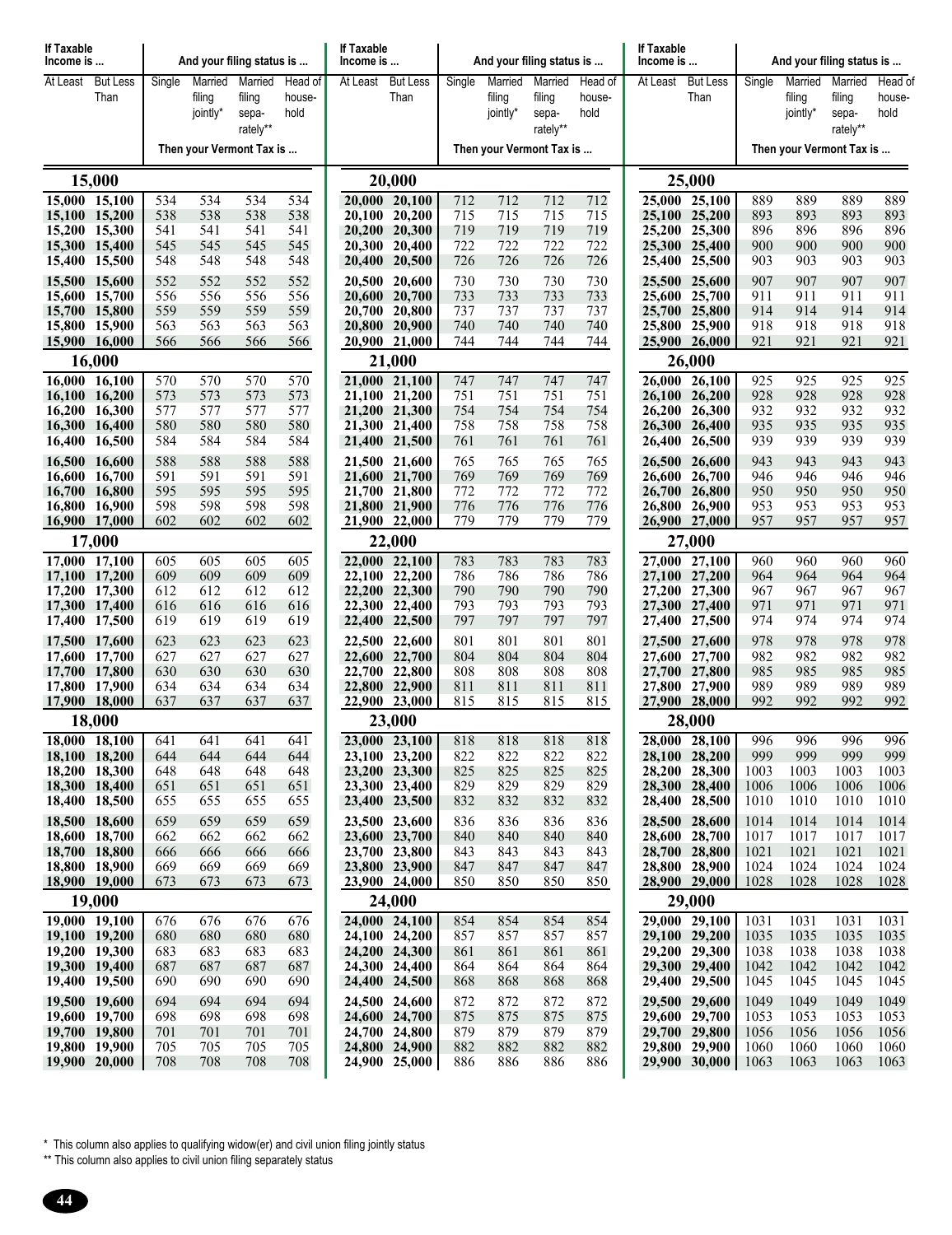| If Taxable<br>Income is                             |                         |            |                               | And your filing status is              |                           | If Taxable<br>Income is |                                |            |                               | And your filing status is              |                           | If Taxable<br>Income is |                                |              |                               | And your filing status is<br>Married<br>filing<br>sepa-<br>rately**<br>Then your Vermont Tax is<br>889<br>893 |                           |  |  |  |  |
|-----------------------------------------------------|-------------------------|------------|-------------------------------|----------------------------------------|---------------------------|-------------------------|--------------------------------|------------|-------------------------------|----------------------------------------|---------------------------|-------------------------|--------------------------------|--------------|-------------------------------|---------------------------------------------------------------------------------------------------------------|---------------------------|--|--|--|--|
| At Least                                            | <b>But Less</b><br>Than | Single     | Married<br>filing<br>jointly* | Married<br>filing<br>sepa-<br>rately** | Head of<br>house-<br>hold | At Least                | <b>But Less</b><br>Than        | Single     | Married<br>filing<br>jointly* | Married<br>filing<br>sepa-<br>rately** | Head of<br>house-<br>hold | At Least                | <b>But Less</b><br>Than        | Single       | Married<br>filing<br>jointly* |                                                                                                               | Head of<br>house-<br>hold |  |  |  |  |
|                                                     |                         |            |                               | Then your Vermont Tax is               |                           |                         | Then your Vermont Tax is       |            |                               |                                        |                           |                         |                                |              |                               |                                                                                                               |                           |  |  |  |  |
|                                                     | 15,000                  |            |                               |                                        |                           |                         | 20,000                         |            |                               |                                        |                           | 25,000                  |                                |              |                               |                                                                                                               |                           |  |  |  |  |
| $\overline{15,000}$ 15,100                          |                         | 534        | 534                           | 534                                    | 534                       |                         | 20,000 20,100                  | 712        | 712                           | 712                                    | 712                       |                         | 25,000 25,100                  | 889          | 889                           |                                                                                                               | 889                       |  |  |  |  |
| 15,100 15,200<br>15,200 15,300                      |                         | 538<br>541 | 538<br>541                    | 538<br>541                             | 538<br>541                |                         | 20,100 20,200<br>20,200 20,300 | 715<br>719 | 715<br>719                    | 715<br>719                             | 715<br>719                |                         | 25,100 25,200<br>25,200 25,300 | 893<br>896   | 893<br>896                    | 896                                                                                                           | 893<br>896                |  |  |  |  |
| 15,300 15,400                                       |                         | 545        | 545                           | 545                                    | 545                       |                         | 20,300 20,400                  | 722        | 722                           | 722                                    | 722                       |                         | 25,300 25,400                  | 900          | 900                           | 900                                                                                                           | 900                       |  |  |  |  |
| 15,400 15,500                                       |                         | 548        | 548                           | 548                                    | 548                       |                         | 20,400 20,500                  | 726        | 726                           | 726                                    | 726                       |                         | 25,400 25,500                  | 903          | 903                           | 903                                                                                                           | 903                       |  |  |  |  |
| 15,500 15,600<br>15,600 15,700                      |                         | 552<br>556 | 552<br>556                    | 552<br>556                             | 552<br>556                |                         | 20,500 20,600<br>20,600 20,700 | 730<br>733 | 730<br>733                    | 730<br>733                             | 730<br>733                |                         | 25,500 25,600<br>25,600 25,700 | 907<br>911   | 907<br>911                    | 907<br>911                                                                                                    | 907<br>911                |  |  |  |  |
| 15,700 15,800                                       |                         | 559        | 559                           | 559                                    | 559                       |                         | 20,700 20,800                  | 737        | 737                           | 737                                    | 737                       |                         | 25,700 25,800                  | 914          | 914                           | 914                                                                                                           | 914                       |  |  |  |  |
| 15,800 15,900<br>15,900 16,000                      |                         | 563<br>566 | 563<br>566                    | 563<br>566                             | 563<br>566                |                         | 20,800 20,900<br>20,900 21,000 | 740<br>744 | 740<br>744                    | 740<br>744                             | 740<br>744                |                         | 25,800 25,900<br>25,900 26,000 | 918<br>921   | 918<br>921                    | 918<br>921                                                                                                    | 918<br>921                |  |  |  |  |
|                                                     | 16,000                  |            |                               |                                        |                           |                         | 21,000                         |            |                               |                                        |                           | 26,000                  |                                |              |                               |                                                                                                               |                           |  |  |  |  |
| 16,000 16,100                                       |                         | 570        | 570                           | 570                                    | 570                       |                         | 21,000 21,100                  | 747        | 747                           | 747                                    | 747                       |                         | $26,000$ 26,100                | 925          | 925                           | 925                                                                                                           | 925                       |  |  |  |  |
| 16,100 16,200<br>16.200 16.300                      |                         | 573<br>577 | 573<br>577                    | 573<br>577                             | 573<br>577                |                         | 21,100 21,200<br>21,200 21,300 | 751<br>754 | 751<br>754                    | 751<br>754                             | 751<br>754                |                         | 26,100 26,200<br>26,200 26,300 | 928<br>932   | 928<br>932                    | 928<br>932                                                                                                    | 928<br>932                |  |  |  |  |
| 16,300 16,400                                       |                         | 580        | 580                           | 580                                    | 580                       |                         | 21,300 21,400                  | 758        | 758                           | 758                                    | 758                       |                         | 26,300 26,400                  | 935          | 935                           | 935                                                                                                           | 935                       |  |  |  |  |
| 16,400                                              | 16,500                  | 584        | 584                           | 584                                    | 584                       |                         | 21,400 21,500                  | 761        | 761                           | 761                                    | 761                       | 26,400                  | 26,500                         | 939          | 939                           | 939                                                                                                           | 939                       |  |  |  |  |
| 16,500 16,600<br>16,600 16,700                      |                         | 588<br>591 | 588<br>591                    | 588<br>591                             | 588<br>591                |                         | 21,500 21,600<br>21,600 21,700 | 765<br>769 | 765<br>769                    | 765<br>769                             | 765<br>769                |                         | 26,500 26,600<br>26,600 26,700 | 943<br>946   | 943<br>946                    | 943<br>946                                                                                                    | 943<br>946                |  |  |  |  |
| 16,700 16,800                                       |                         | 595        | 595                           | 595                                    | 595                       |                         | 21,700 21,800                  | 772        | 772                           | 772                                    | 772                       |                         | 26,700 26,800                  | 950          | 950                           | 950                                                                                                           | 950                       |  |  |  |  |
| 16,800 16,900                                       |                         | 598        | 598                           | 598                                    | 598                       |                         | 21,800 21,900                  | 776<br>779 | 776<br>779                    | 776                                    | 776                       |                         | 26,800 26,900                  | 953<br>957   | 953<br>957                    | 953                                                                                                           | 953                       |  |  |  |  |
| 16,900 17,000<br>602<br>602<br>602<br>602<br>17,000 |                         |            |                               |                                        |                           |                         | 21,900 22,000<br>22,000        |            |                               | 779                                    | 779                       |                         | 26,900 27,000<br>27,000        |              |                               | 957                                                                                                           | 957                       |  |  |  |  |
| 17,000 17,100                                       |                         | 605        | 605                           | 605                                    | 605                       |                         | 22,000 22,100                  | 783        | 783                           | 783                                    | 783                       |                         | 27,000 27,100                  | 960          | 960                           | 960                                                                                                           | 960                       |  |  |  |  |
| 17,100 17,200                                       |                         | 609        | 609                           | 609                                    | 609                       |                         | 22,100 22,200                  | 786        | 786                           | 786                                    | 786                       |                         | 27,100 27,200                  | 964          | 964                           | 964                                                                                                           | 964                       |  |  |  |  |
| 17,200 17,300<br>17,300 17,400                      |                         | 612<br>616 | 612<br>616                    | 612<br>616                             | 612<br>616                |                         | 22,200 22,300<br>22,300 22,400 | 790<br>793 | 790<br>793                    | 790<br>793                             | 790<br>793                |                         | 27,200 27,300<br>27,300 27,400 | 967<br>971   | 967<br>971                    | 967<br>971                                                                                                    | 967<br>971                |  |  |  |  |
| 17,400 17,500                                       |                         | 619        | 619                           | 619                                    | 619                       |                         | 22,400 22,500                  | 797        | 797                           | 797                                    | 797                       |                         | 27,400 27,500                  | 974          | 974                           | 974                                                                                                           | 974                       |  |  |  |  |
| 17,500 17,600                                       |                         | 623        | 623                           | 623                                    | 623                       |                         | 22,500 22,600                  | 801        | 801                           | 801                                    | 801                       |                         | 27,500 27,600                  | 978          | 978                           | 978                                                                                                           | 978                       |  |  |  |  |
| 17,600 17,700<br>17,700 17,800                      |                         | 627<br>630 | 627<br>630                    | 627<br>630                             | 627<br>630                |                         | 22,600 22,700<br>22,700 22,800 | 804<br>808 | 804<br>808                    | 804<br>808                             | 804<br>808                |                         | 27,600 27,700<br>27,700 27,800 | 982<br>985   | 982<br>985                    | 982<br>985                                                                                                    | 982<br>985                |  |  |  |  |
| 17,800 17,900                                       |                         | 634        | 634                           | 634                                    | 634                       |                         | 22,800 22,900                  | 811        | 811                           | 811                                    | 811                       |                         | 27,800 27,900                  | 989          | 989                           | 989                                                                                                           | 989                       |  |  |  |  |
| 17,900 18,000                                       |                         | 637        | 637                           | 637                                    | 637                       |                         | 22,900 23,000                  | 815        | 815                           | 815                                    | 815                       |                         | 27,900 28,000                  | 992          | 992                           | 992                                                                                                           | 992                       |  |  |  |  |
| 18.000 18.100                                       | 18,000                  | 641        | 641                           | 641                                    | 641                       |                         | 23,000<br>23,000 23,100        | 818        | 818                           | 818                                    | 818                       |                         | 28,000<br>28,000 28,100        | 996          | 996                           | 996                                                                                                           | 996                       |  |  |  |  |
| 18,100 18,200                                       |                         | 644        | 644                           | 644                                    | 644                       |                         | 23,100 23,200                  | 822        | 822                           | 822                                    | 822                       |                         | 28,100 28,200                  | 999          | 999                           | 999                                                                                                           | 999                       |  |  |  |  |
| 18,200 18,300                                       |                         | 648        | 648                           | 648                                    | 648                       |                         | 23,200 23,300                  | 825        | 825                           | 825                                    | 825                       |                         | 28,200 28,300                  | 1003         | 1003                          | 1003                                                                                                          | 1003                      |  |  |  |  |
| 18,300 18,400<br>18,400 18,500                      |                         | 651<br>655 | 651<br>655                    | 651<br>655                             | 651<br>655                |                         | 23,300 23,400<br>23,400 23,500 | 829<br>832 | 829<br>832                    | 829<br>832                             | 829<br>832                |                         | 28,300 28,400<br>28,400 28,500 | 1006<br>1010 | 1006<br>1010                  | 1006<br>1010                                                                                                  | 1006<br>1010              |  |  |  |  |
| 18,500 18,600                                       |                         | 659        | 659                           | 659                                    | 659                       |                         | 23,500 23,600                  | 836        | 836                           | 836                                    | 836                       |                         | 28,500 28,600                  | 1014         | 1014                          | 1014                                                                                                          | 1014                      |  |  |  |  |
| 18,600 18,700                                       |                         | 662        | 662                           | 662                                    | 662                       |                         | 23,600 23,700                  | 840        | 840                           | 840                                    | 840                       |                         | 28,600 28,700                  | 1017         | 1017                          | 1017                                                                                                          | 1017                      |  |  |  |  |
| 18,700 18,800<br>18,800 18,900                      |                         | 666<br>669 | 666<br>669                    | 666<br>669                             | 666<br>669                |                         | 23,700 23,800<br>23,800 23,900 | 843<br>847 | 843<br>847                    | 843<br>847                             | 843<br>847                |                         | 28,700 28,800<br>28,800 28,900 | 1021<br>1024 | 1021<br>1024                  | 1021<br>1024                                                                                                  | 1021<br>1024              |  |  |  |  |
| 18,900 19,000                                       |                         | 673        | 673                           | 673                                    | 673                       |                         | 23,900 24,000                  | 850        | 850                           | 850                                    | 850                       |                         | 28,900 29,000                  | 1028         | 1028                          | 1028                                                                                                          | 1028                      |  |  |  |  |
|                                                     | 19,000                  |            |                               |                                        |                           |                         | 24,000                         |            |                               |                                        |                           |                         | 29,000                         |              |                               |                                                                                                               |                           |  |  |  |  |
| 19,000 19,100<br>19,100 19,200                      |                         | 676<br>680 | 676<br>680                    | 676<br>680                             | 676<br>680                |                         | 24,000 24,100<br>24,100 24,200 | 854<br>857 | 854<br>857                    | 854<br>857                             | 854<br>857                |                         | 29,000 29,100<br>29,100 29,200 | 1031<br>1035 | 1031<br>1035                  | 1031<br>1035                                                                                                  | 1031<br>1035              |  |  |  |  |
| 19,200 19,300                                       |                         | 683        | 683                           | 683                                    | 683                       |                         | 24,200 24,300                  | 861        | 861                           | 861                                    | 861                       |                         | 29,200 29,300                  | 1038         | 1038                          | 1038                                                                                                          | 1038                      |  |  |  |  |
| 19,300 19,400                                       |                         | 687        | 687                           | 687                                    | 687                       |                         | 24,300 24,400                  | 864        | 864                           | 864                                    | 864                       |                         | 29,300 29,400                  | 1042         | 1042                          | 1042                                                                                                          | 1042                      |  |  |  |  |
| 19,400 19,500                                       |                         | 690        | 690                           | 690                                    | 690                       |                         | 24,400 24,500                  | 868        | 868                           | 868                                    | 868                       |                         | 29,400 29,500                  | 1045         | 1045                          | 1045                                                                                                          | 1045                      |  |  |  |  |
| 19,500 19,600<br>19,600 19,700                      |                         | 694<br>698 | 694<br>698                    | 694<br>698                             | 694<br>698                |                         | 24,500 24,600<br>24,600 24,700 | 872<br>875 | 872<br>875                    | 872<br>875                             | 872<br>875                |                         | 29,500 29,600<br>29,600 29,700 | 1049<br>1053 | 1049<br>1053                  | 1049<br>1053                                                                                                  | 1049<br>1053              |  |  |  |  |
| 19,700 19,800                                       |                         | 701        | 701                           | 701                                    | 701                       |                         | 24,700 24,800                  | 879        | 879                           | 879                                    | 879                       |                         | 29,700 29,800                  | 1056         | 1056                          | 1056                                                                                                          | 1056                      |  |  |  |  |
| 19,800 19,900<br>19,900 20,000                      |                         | 705<br>708 | 705<br>708                    | 705<br>708                             | 705<br>708                |                         | 24,800 24,900<br>24,900 25,000 | 882<br>886 | 882<br>886                    | 882<br>886                             | 882<br>886                |                         | 29,800 29,900<br>29,900 30,000 | 1060<br>1063 | 1060<br>1063                  | 1060<br>1063                                                                                                  | 1060<br>1063              |  |  |  |  |
|                                                     |                         |            |                               |                                        |                           |                         |                                |            |                               |                                        |                           |                         |                                |              |                               |                                                                                                               |                           |  |  |  |  |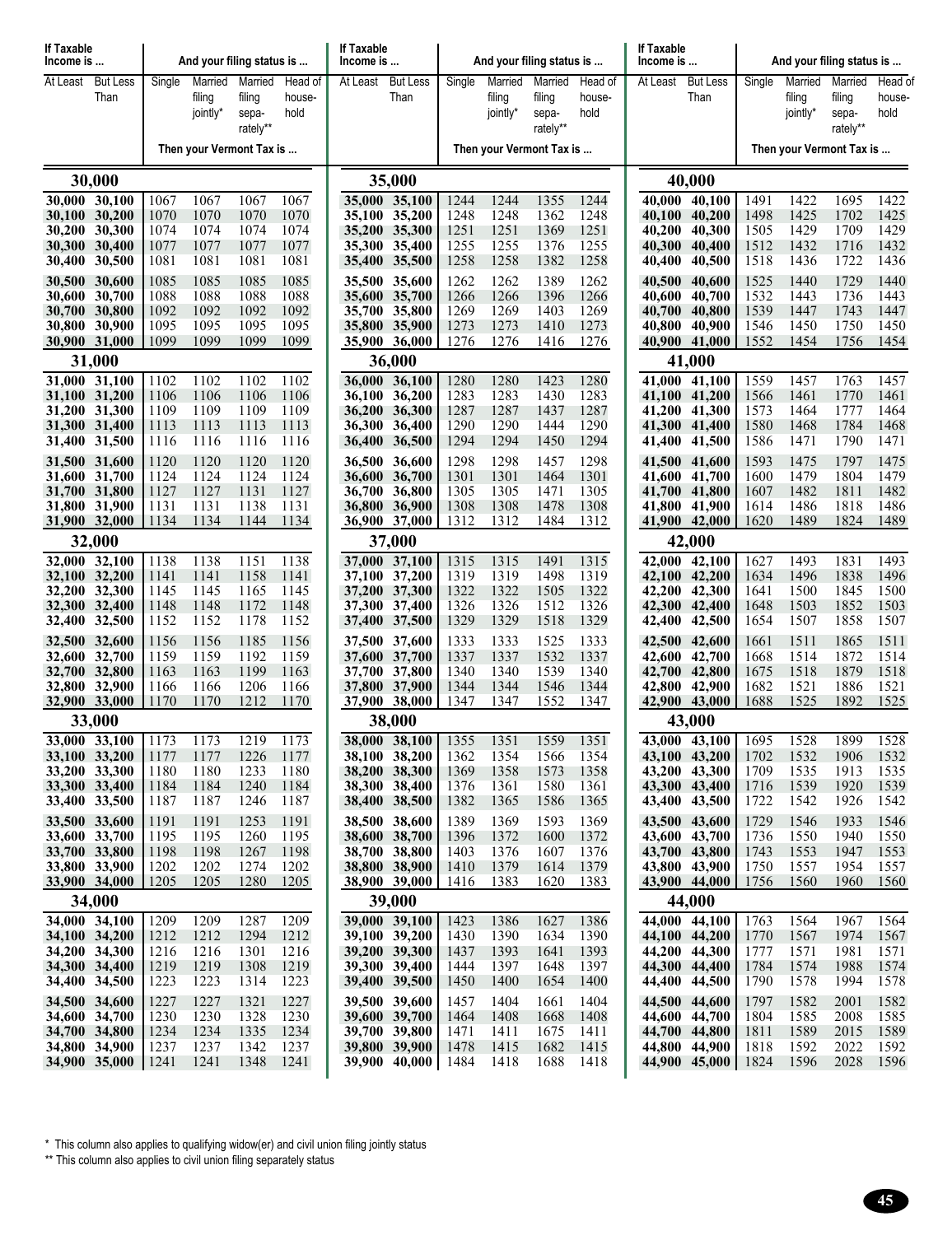| If Taxable<br>Income is        |                                |              | And your filing status is |                 |                | <b>If Taxable</b><br>Income is                          |                                |              | And your filing status is |                 |                | If Taxable<br>Income is                                    |                                |              | And your filing status is |                 |                |  |
|--------------------------------|--------------------------------|--------------|---------------------------|-----------------|----------------|---------------------------------------------------------|--------------------------------|--------------|---------------------------|-----------------|----------------|------------------------------------------------------------|--------------------------------|--------------|---------------------------|-----------------|----------------|--|
| At Least                       | <b>But Less</b>                | Single       | Married                   | Married         | Head of        | At Least                                                | <b>But Less</b>                | Single       | Married                   | Married         | Head of        | At Least                                                   | <b>But Less</b>                | Single       | Married                   | Married         | Head of        |  |
|                                | Than                           |              | filing<br>jointly*        | filing<br>sepa- | house-<br>hold |                                                         | Than                           |              | filing<br>jointly*        | filing<br>sepa- | house-<br>hold |                                                            | Than                           |              | filing<br>jointly*        | filing<br>sepa- | house-<br>hold |  |
|                                |                                |              |                           | rately**        |                |                                                         |                                |              |                           | rately**        |                |                                                            |                                |              |                           | rately**        |                |  |
| Then your Vermont Tax is       |                                |              |                           |                 |                |                                                         |                                |              | Then your Vermont Tax is  |                 |                | Then your Vermont Tax is                                   |                                |              |                           |                 |                |  |
|                                | 30,000                         |              |                           |                 |                |                                                         | 35,000                         |              |                           |                 |                | 40,000                                                     |                                |              |                           |                 |                |  |
| 30,000 30,100                  | 30,100 30,200                  | 1067<br>1070 | 1067<br>1070              | 1067<br>1070    | 1067<br>1070   |                                                         | 35,000 35,100<br>35,100 35,200 | 1244<br>1248 | 1244<br>1248              | 1355<br>1362    | 1244<br>1248   | 40.100                                                     | 40,000 40,100<br>40,200        | 1491<br>1498 | 1422<br>1425              | 1695<br>1702    | 1422<br>1425   |  |
| 30,200 30,300                  |                                | 1074         | 1074                      | 1074            | 1074           |                                                         | 35,200 35,300                  | 1251         | 1251                      | 1369            | 1251           | 40,200                                                     | 40,300                         | 1505         | 1429                      | 1709            | 1429           |  |
| 30,400 30,500                  | 30,300 30,400                  | 1077<br>1081 | 1077<br>1081              | 1077<br>1081    | 1077<br>1081   |                                                         | 35,300 35,400<br>35,400 35,500 | 1255<br>1258 | 1255<br>1258              | 1376<br>1382    | 1255<br>1258   | 40.300<br>40,400                                           | 40,400<br>40,500               | 1512<br>1518 | 1432<br>1436              | 1716<br>1722    | 1432<br>1436   |  |
| 30,500 30,600                  |                                | 1085         | 1085                      | 1085            | 1085           |                                                         | 35,500 35,600                  | 1262         | 1262                      | 1389            | 1262           | 40,500                                                     | 40,600                         | 1525         | 1440                      | 1729            | 1440           |  |
| 30,600 30,700                  |                                | 1088         | 1088                      | 1088            | 1088           |                                                         | 35,600 35,700                  | 1266         | 1266                      | 1396            | 1266           | 40,600                                                     | 40,700                         | 1532         | 1443                      | 1736            | 1443           |  |
| 30,700 30,800<br>30,800 30,900 |                                | 1092<br>1095 | 1092<br>1095              | 1092<br>1095    | 1092<br>1095   |                                                         | 35,700 35,800<br>35,800 35,900 | 1269<br>1273 | 1269<br>1273              | 1403<br>1410    | 1269<br>1273   | 40,700<br>40,800                                           | 40,800<br>40,900               | 1539<br>1546 | 1447<br>1450              | 1743<br>1750    | 1447<br>1450   |  |
| 30,900 31,000                  |                                | 1099         | 1099                      | 1099            | 1099           |                                                         | 35,900 36,000                  | 1276         | 1276                      | 1416            | 1276           | 40,900                                                     | 41,000                         | 1552         | 1454                      | 1756            | 1454           |  |
|                                | 31,000                         |              |                           |                 |                |                                                         | 36,000                         |              |                           |                 |                |                                                            | 41,000                         |              |                           |                 |                |  |
| 31,000 31,100<br>31,100 31,200 |                                | 1102<br>1106 | 1102<br>1106              | 1102<br>1106    | 1102<br>1106   |                                                         | 36,000 36,100<br>36,100 36,200 | 1280<br>1283 | 1280<br>1283              | 1423<br>1430    | 1280<br>1283   | 41.100                                                     | 41,000 41,100<br>41,200        | 1559<br>1566 | 1457<br>1461              | 1763<br>1770    | 1457<br>1461   |  |
| 31,200 31,300                  |                                | 1109         | 1109                      | 1109            | 1109           |                                                         | 36,200 36,300                  | 1287         | 1287                      | 1437            | 1287           |                                                            | 41,200 41,300                  | 1573         | 1464                      | 1777            | 1464           |  |
| 31,300 31,400<br>31,400 31,500 |                                | 1113<br>1116 | 1113<br>1116              | 1113<br>1116    | 1113<br>1116   |                                                         | 36,300 36,400<br>36,400 36,500 | 1290<br>1294 | 1290<br>1294              | 1444<br>1450    | 1290<br>1294   |                                                            | 41.300 41.400<br>41,400 41,500 | 1580<br>1586 | 1468<br>1471              | 1784<br>1790    | 1468<br>1471   |  |
| 31,500 31,600                  |                                | 1120         | 1120                      | 1120            | 1120           |                                                         | 36,500 36,600                  | 1298         | 1298                      | 1457            | 1298           |                                                            | 41,500 41,600                  | 1593         | 1475                      | 1797            | 1475           |  |
| 31,600 31,700<br>31,700 31,800 |                                | 1124<br>1127 | 1124<br>1127              | 1124<br>1131    | 1124<br>1127   |                                                         | 36,600 36,700<br>36,700 36,800 | 1301<br>1305 | 1301<br>1305              | 1464<br>1471    | 1301<br>1305   | 41,600                                                     | 41,700<br>41,700 41,800        | 1600<br>1607 | 1479<br>1482              | 1804<br>1811    | 1479<br>1482   |  |
| 31,800 31,900                  |                                | 1131         | 1131                      | 1138            | 1131           |                                                         | 36,800 36,900                  | 1308         | 1308                      | 1478            | 1308           |                                                            | 41,800 41,900                  | 1614         | 1486                      | 1818            | 1486           |  |
| 31,900 32,000                  |                                | 1134         | 1134                      | 1144            | 1134           |                                                         | 36,900 37,000                  | 1312         | 1312                      | 1484            | 1312           |                                                            | 41,900 42,000                  | 1620         | 1489                      | 1824            | 1489           |  |
| 32,000 32,100                  | 32,000                         | 1138         | 1138                      | 1151            | 1138           |                                                         | 37,000<br>37,000 37,100        | 1315         | 1315                      | 1491            | 1315           |                                                            | 42,000<br>42,000 42,100        | 1627         | 1493                      | 1831            | 1493           |  |
|                                | 32,100 32,200                  | 1141         | 1141                      | 1158            | 1141           |                                                         | 37,100 37,200                  | 1319         | 1319                      | 1498            | 1319           |                                                            | 42,100 42,200                  | 1634         | 1496                      | 1838            | 1496           |  |
|                                | 32,200 32,300<br>32,300 32,400 | 1145<br>1148 | 1145<br>1148              | 1165<br>1172    | 1145<br>1148   |                                                         | 37,200 37,300<br>37,300 37,400 | 1322<br>1326 | 1322<br>1326              | 1505<br>1512    | 1322<br>1326   |                                                            | 42,200 42,300<br>42,300 42,400 | 1641<br>1648 | 1500<br>1503              | 1845<br>1852    | 1500<br>1503   |  |
|                                | 32,400 32,500                  | 1152         | 1152                      | 1178            | 1152           |                                                         | 37,400 37,500                  | 1329         | 1329                      | 1518            | 1329           | 42,400                                                     | 42,500                         | 1654         | 1507                      | 1858            | 1507           |  |
| 32,500 32,600                  |                                | 1156         | 1156                      | 1185            | 1156           |                                                         | 37,500 37,600                  | 1333         | 1333                      | 1525            | 1333           | 42,500                                                     | 42,600                         | 1661         | 1511                      | 1865            | 1511           |  |
| 32,600 32,700<br>32,700 32,800 |                                | 1159<br>1163 | 1159<br>1163              | 1192<br>1199    | 1159<br>1163   |                                                         | 37,600 37,700<br>37,700 37,800 | 1337<br>1340 | 1337<br>1340              | 1532<br>1539    | 1337<br>1340   | 42,600                                                     | 42,700<br>42,700 42,800        | 1668<br>1675 | 1514<br>1518              | 1872<br>1879    | 1514<br>1518   |  |
| 32,800 32,900                  |                                | 1166         | 1166                      | 1206            | 1166           |                                                         | 37,800 37,900                  | 1344         | 1344                      | 1546            | 1344           | 42,800                                                     | 42,900                         | 1682         | 1521                      | 1886            | 1521           |  |
| 32,900 33,000                  | 33,000                         | 1170         | 1170                      | 1212            | 1170           | 37,900 38,000<br>1347<br>1347<br>1552<br>1347<br>38,000 |                                |              |                           |                 |                | 1525<br>1892<br>1525<br>42,900<br>43,000<br>1688<br>43,000 |                                |              |                           |                 |                |  |
|                                | 33,000 33,100                  | 1173         | 1173                      | 1219            | 1173           |                                                         | 38,000 38,100                  | 1355         | 1351                      | 1559            | 1351           | 43,000                                                     | 43,100                         | 1695         | 1528                      | 1899            | 1528           |  |
|                                | 33,100 33,200                  | 1177         | 1177                      | 1226            | 1177           |                                                         | 38,100 38,200                  | 1362         | 1354                      | 1566            | 1354           |                                                            | 43,100 43,200<br>43,200 43,300 | 1702         | 1532                      | 1906            | 1532           |  |
| 33,200 33,300<br>33,300 33,400 |                                | 1180<br>1184 | 1180<br>1184              | 1233<br>1240    | 1180<br>1184   |                                                         | 38,200 38,300<br>38,300 38,400 | 1369<br>1376 | 1358<br>1361              | 1573<br>1580    | 1358<br>1361   |                                                            | 43,300 43,400                  | 1709<br>1716 | 1535<br>1539              | 1913<br>1920    | 1535<br>1539   |  |
|                                | 33,400 33,500                  | 1187         | 1187                      | 1246            | 1187           |                                                         | 38,400 38,500                  | 1382         | 1365                      | 1586            | 1365           |                                                            | 43,400 43,500                  | 1722         | 1542                      | 1926            | 1542           |  |
| 33,500 33,600                  | 33,600 33,700                  | 1191<br>1195 | 1191<br>1195              | 1253<br>1260    | 1191<br>1195   |                                                         | 38,500 38,600<br>38,600 38,700 | 1389<br>1396 | 1369<br>1372              | 1593<br>1600    | 1369<br>1372   |                                                            | 43,500 43,600<br>43,600 43,700 | 1729<br>1736 | 1546<br>1550              | 1933<br>1940    | 1546<br>1550   |  |
| 33,700 33,800                  |                                | 1198         | 1198                      | 1267            | 1198           |                                                         | 38,700 38,800                  | 1403         | 1376                      | 1607            | 1376           |                                                            | 43,700 43,800                  | 1743         | 1553                      | 1947            | 1553           |  |
| 33,800 33,900                  |                                | 1202<br>1205 | 1202<br>1205              | 1274<br>1280    | 1202<br>1205   |                                                         | 38,800 38,900<br>38,900 39,000 | 1410<br>1416 | 1379<br>1383              | 1614<br>1620    | 1379<br>1383   |                                                            | 43,800 43,900<br>43,900 44,000 | 1750<br>1756 | 1557<br>1560              | 1954<br>1960    | 1557<br>1560   |  |
| 33,900 34,000<br>34,000        |                                |              |                           |                 |                |                                                         | 39,000                         |              |                           |                 |                |                                                            | 44,000                         |              |                           |                 |                |  |
| 34,000 34,100                  |                                | 1209         | 1209                      | 1287            | 1209           |                                                         | 39,000 39,100                  | 1423         | 1386                      | 1627            | 1386           |                                                            | 44,000 44,100                  | 1763         | 1564                      | 1967            | 1564           |  |
| 34,200 34,300                  | 34,100 34,200                  | 1212<br>1216 | 1212<br>1216              | 1294<br>1301    | 1212<br>1216   |                                                         | 39,100 39,200<br>39,200 39,300 | 1430<br>1437 | 1390<br>1393              | 1634<br>1641    | 1390<br>1393   |                                                            | 44,100 44,200<br>44,200 44,300 | 1770<br>1777 | 1567<br>1571              | 1974<br>1981    | 1567<br>1571   |  |
| 34,300 34,400                  |                                | 1219         | 1219                      | 1308            | 1219           |                                                         | 39,300 39,400                  | 1444         | 1397                      | 1648            | 1397           |                                                            | 44,300 44,400                  | 1784         | 1574                      | 1988            | 1574           |  |
| 34,400 34,500                  |                                | 1223         | 1223                      | 1314            | 1223           |                                                         | 39,400 39,500                  | 1450         | 1400                      | 1654            | 1400           |                                                            | 44,400 44,500                  | 1790         | 1578                      | 1994            | 1578           |  |
| 34,500 34,600<br>34,600 34,700 |                                | 1227<br>1230 | 1227<br>1230              | 1321<br>1328    | 1227<br>1230   |                                                         | 39,500 39,600<br>39,600 39,700 | 1457<br>1464 | 1404<br>1408              | 1661<br>1668    | 1404<br>1408   |                                                            | 44,500 44,600<br>44,600 44,700 | 1797<br>1804 | 1582<br>1585              | 2001<br>2008    | 1582<br>1585   |  |
| 34,700 34,800                  | 34,800 34,900                  | 1234<br>1237 | 1234<br>1237              | 1335<br>1342    | 1234<br>1237   |                                                         | 39,700 39,800<br>39,800 39,900 | 1471<br>1478 | 1411<br>1415              | 1675<br>1682    | 1411           |                                                            | 44,700 44,800<br>44,800 44,900 | 1811<br>1818 | 1589<br>1592              | 2015<br>2022    | 1589<br>1592   |  |
|                                | 34,900 35,000                  | 1241         | 1241                      | 1348            | 1241           |                                                         | 39,900 40,000                  | 1484         | 1418                      | 1688            | 1415<br>1418   |                                                            | 44,900 45,000                  | 1824         | 1596                      | 2028            | 1596           |  |
|                                |                                |              |                           |                 |                |                                                         |                                |              |                           |                 |                |                                                            |                                |              |                           |                 |                |  |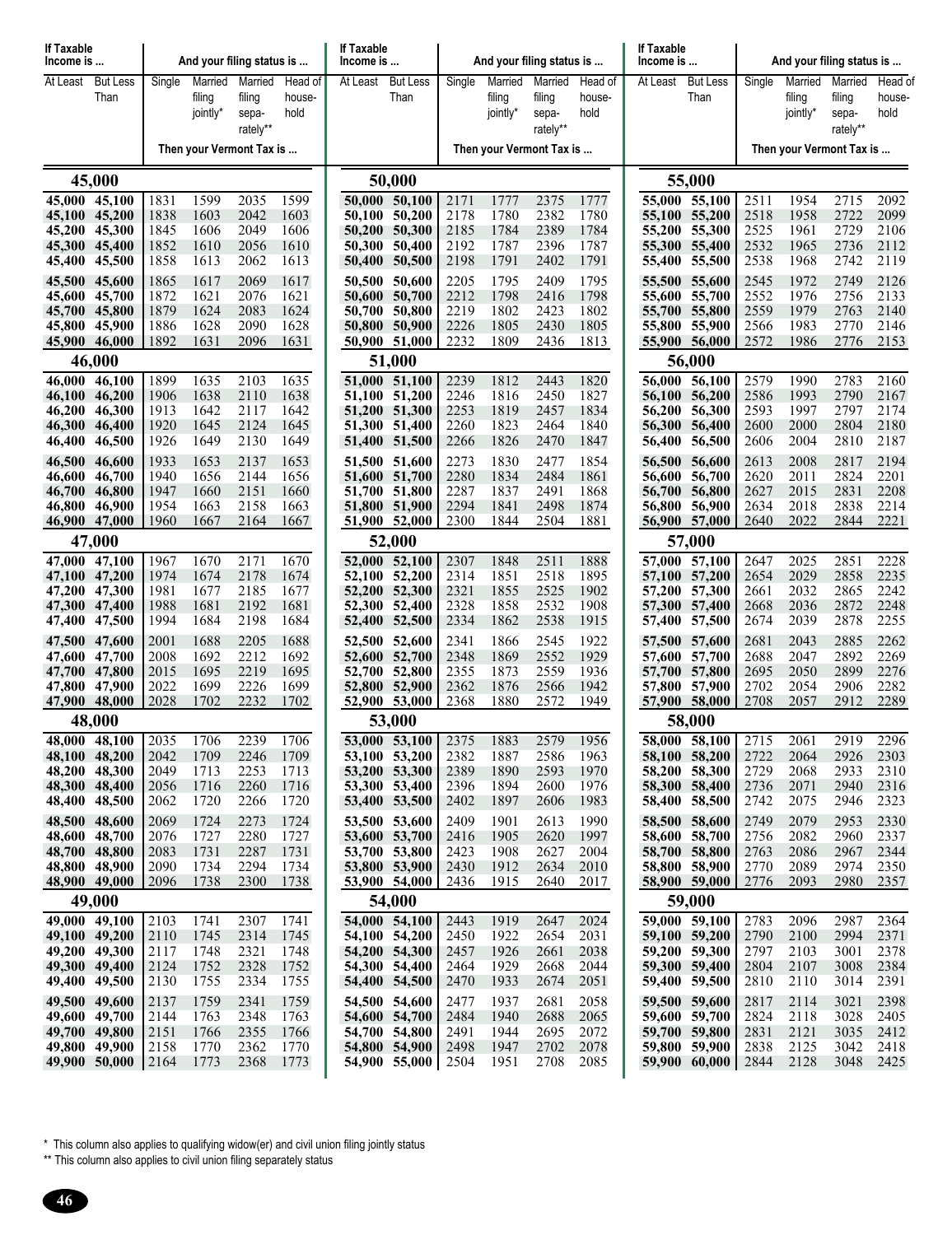| If Taxable<br>Income is        |                                |              |                    | And your filing status is |                   | If Taxable<br>Income is |                                |              |                    | And your filing status is |                   | If Taxable<br>Income is |                                |              |                    | And your filing status is<br>Married<br>filing<br>sepa-<br>rately**<br>Then your Vermont Tax is<br>2715<br>2722<br>2729<br>2736<br>2742<br>2749<br>2756<br>2763<br>2770<br>2776<br>2783<br>2790<br>2797<br>2804<br>2810<br>2817<br>2824 |                |  |  |  |
|--------------------------------|--------------------------------|--------------|--------------------|---------------------------|-------------------|-------------------------|--------------------------------|--------------|--------------------|---------------------------|-------------------|-------------------------|--------------------------------|--------------|--------------------|-----------------------------------------------------------------------------------------------------------------------------------------------------------------------------------------------------------------------------------------|----------------|--|--|--|
| At Least                       | <b>But Less</b><br>Than        | Single       | Married            | Married                   | Head of<br>house- | At Least                | <b>But Less</b><br>Than        | Single       | Married            | Married                   | Head of<br>house- | At Least                | <b>But Less</b><br>Than        | Single       | Married            |                                                                                                                                                                                                                                         | Head of        |  |  |  |
|                                |                                |              | filing<br>jointly* | filing<br>sepa-           | hold              |                         |                                |              | filing<br>jointly* | filing<br>sepa-           | hold              |                         |                                |              | filing<br>jointly* |                                                                                                                                                                                                                                         | house-<br>hold |  |  |  |
|                                |                                |              |                    | rately**                  |                   |                         |                                |              |                    | rately**                  |                   |                         |                                |              |                    |                                                                                                                                                                                                                                         |                |  |  |  |
|                                |                                |              |                    | Then your Vermont Tax is  |                   |                         |                                |              |                    | Then your Vermont Tax is  |                   |                         |                                |              |                    |                                                                                                                                                                                                                                         |                |  |  |  |
|                                | 45,000                         |              |                    |                           |                   |                         | 50,000                         |              |                    |                           |                   | 55,000                  |                                |              |                    |                                                                                                                                                                                                                                         |                |  |  |  |
| 45,000 45,100                  |                                | 1831         | 1599               | 2035                      | 1599              |                         | 50,000 50,100                  | 2171         | 1777               | 2375                      | 1777              |                         | 55,000 55,100                  | 2511         | 1954               |                                                                                                                                                                                                                                         | 2092           |  |  |  |
| 45,200                         | 45,100 45,200<br>45,300        | 1838<br>1845 | 1603<br>1606       | 2042<br>2049              | 1603<br>1606      | 50,200                  | 50,100 50,200<br>50,300        | 2178<br>2185 | 1780<br>1784       | 2382<br>2389              | 1780<br>1784      | 55.100<br>55,200        | 55,200<br>55,300               | 2518<br>2525 | 1958<br>1961       |                                                                                                                                                                                                                                         | 2099<br>2106   |  |  |  |
| 45,300 45,400                  |                                | 1852         | 1610               | 2056                      | 1610              |                         | 50.300 50.400                  | 2192         | 1787               | 2396                      | 1787              |                         | 55,300 55,400                  | 2532         | 1965               |                                                                                                                                                                                                                                         | 2112           |  |  |  |
| 45,400                         | 45,500                         | 1858         | 1613               | 2062                      | 1613              |                         | 50,400 50,500                  | 2198         | 1791               | 2402                      | 1791              | 55,400                  | 55,500                         | 2538         | 1968               |                                                                                                                                                                                                                                         | 2119           |  |  |  |
| 45,500<br>45,600               | 45,600<br>45,700               | 1865<br>1872 | 1617<br>1621       | 2069<br>2076              | 1617<br>1621      | 50,600                  | 50,500 50,600<br>50,700        | 2205<br>2212 | 1795<br>1798       | 2409<br>2416              | 1795<br>1798      | 55,500<br>55,600        | 55,600<br>55,700               | 2545<br>2552 | 1972<br>1976       |                                                                                                                                                                                                                                         | 2126<br>2133   |  |  |  |
|                                | 45,700 45,800                  | 1879         | 1624               | 2083                      | 1624              |                         | 50,700 50,800                  | 2219         | 1802               | 2423                      | 1802              | 55,700                  | 55,800                         | 2559         | 1979               |                                                                                                                                                                                                                                         | 2140           |  |  |  |
| 45,800 45,900                  |                                | 1886         | 1628               | 2090                      | 1628              |                         | 50,800 50,900                  | 2226         | 1805<br>1809       | 2430                      | 1805<br>1813      | 55,800                  | 55,900                         | 2566         | 1983               |                                                                                                                                                                                                                                         | 2146           |  |  |  |
| 45,900 46,000                  | 46,000                         | 1892         | 1631               | 2096                      | 1631              |                         | 50,900 51,000<br>51,000        | 2232         |                    | 2436                      | 55,900            | 56,000<br>56,000        | 2572                           | 1986         |                    | 2153                                                                                                                                                                                                                                    |                |  |  |  |
| 46,000                         | 46.100                         | 1899         | 1635               | 2103                      | 1635              |                         | 51,000 51,100                  | 2239         | 1812               | 2443                      | 1820              |                         | 56,000 56,100                  | 2579         | 1990               |                                                                                                                                                                                                                                         | 2160           |  |  |  |
|                                | 46,100 46,200                  | 1906         | 1638               | 2110                      | 1638              |                         | 51,100 51,200                  | 2246         | 1816               | 2450                      | 1827              | 56,100                  | 56,200                         | 2586         | 1993               |                                                                                                                                                                                                                                         | 2167           |  |  |  |
| 46,200<br>46,300               | 46,300<br>46,400               | 1913<br>1920 | 1642<br>1645       | 2117<br>2124              | 1642<br>1645      |                         | 51,200 51,300<br>51,300 51,400 | 2253<br>2260 | 1819<br>1823       | 2457<br>2464              | 1834<br>1840      | 56,200<br>56,300        | 56,300<br>56,400               | 2593<br>2600 | 1997<br>2000       |                                                                                                                                                                                                                                         | 2174<br>2180   |  |  |  |
| 46,400                         | 46,500                         | 1926         | 1649               | 2130                      | 1649              |                         | 51,400 51,500                  | 2266         | 1826               | 2470                      | 1847              | 56,400                  | 56,500                         | 2606         | 2004               |                                                                                                                                                                                                                                         | 2187           |  |  |  |
| 46,500                         | 46,600                         | 1933         | 1653               | 2137                      | 1653              |                         | 51,500 51,600                  | 2273         | 1830               | 2477                      | 1854              | 56,500                  | 56,600                         | 2613         | 2008               |                                                                                                                                                                                                                                         | 2194           |  |  |  |
| 46,600<br>46,700               | 46,700<br>46,800               | 1940<br>1947 | 1656<br>1660       | 2144<br>2151              | 1656<br>1660      |                         | 51,600 51,700<br>51,700 51,800 | 2280<br>2287 | 1834<br>1837       | 2484<br>2491              | 1861<br>1868      | 56,600<br>56,700        | 56,700<br>56,800               | 2620<br>2627 | 2011<br>2015       | 2831                                                                                                                                                                                                                                    | 2201<br>2208   |  |  |  |
| 46,800                         | 46,900                         | 1954         | 1663               | 2158                      | 1663              |                         | 51,800 51,900                  | 2294         | 1841               | 2498                      | 1874              | 56,800                  | 56,900                         | 2634         | 2018               | 2838                                                                                                                                                                                                                                    | 2214           |  |  |  |
| 46,900 47,000                  |                                | 1960         | 1667               | 2164                      | 1667              |                         | 51,900 52,000                  | 2300         | 1844               | 2504                      | 1881              |                         | 56,900 57,000                  | 2640         | 2022               | 2844                                                                                                                                                                                                                                    | 2221           |  |  |  |
| 47,000                         |                                |              |                    |                           |                   |                         | 52,000                         |              |                    |                           |                   |                         | 57,000                         |              |                    |                                                                                                                                                                                                                                         |                |  |  |  |
| 47,000<br>47,100 47,200        | 47,100                         | 1967<br>1974 | 1670<br>1674       | 2171<br>2178              | 1670<br>1674      |                         | 52,000 52,100<br>52,100 52,200 | 2307<br>2314 | 1848<br>1851       | 2511<br>2518              | 1888<br>1895      |                         | 57,000 57,100<br>57,100 57,200 | 2647<br>2654 | 2025<br>2029       | 2851<br>2858                                                                                                                                                                                                                            | 2228<br>2235   |  |  |  |
| 47,200                         | 47,300                         | 1981         | 1677               | 2185                      | 1677              |                         | 52,200 52,300                  | 2321         | 1855               | 2525                      | 1902              | 57,200                  | 57,300                         | 2661         | 2032               | 2865                                                                                                                                                                                                                                    | 2242           |  |  |  |
| 47,300 47,400                  |                                | 1988         | 1681               | 2192                      | 1681              |                         | 52,300 52,400                  | 2328         | 1858               | 2532                      | 1908              |                         | 57,300 57,400                  | 2668         | 2036               | 2872                                                                                                                                                                                                                                    | 2248           |  |  |  |
| 47,400 47,500                  |                                | 1994         | 1684               | 2198                      | 1684              |                         | 52,400 52,500                  | 2334         | 1862               | 2538                      | 1915              |                         | 57,400 57,500                  | 2674         | 2039               | 2878                                                                                                                                                                                                                                    | 2255           |  |  |  |
| 47,600                         | 47,500 47,600<br>47,700        | 2001<br>2008 | 1688<br>1692       | 2205<br>2212              | 1688<br>1692      |                         | 52,500 52,600<br>52,600 52,700 | 2341<br>2348 | 1866<br>1869       | 2545<br>2552              | 1922<br>1929      | 57,600                  | 57,500 57,600<br>57,700        | 2681<br>2688 | 2043<br>2047       | 2885<br>2892                                                                                                                                                                                                                            | 2262<br>2269   |  |  |  |
| 47,700                         | 47,800                         | 2015         | 1695               | 2219                      | 1695              |                         | 52,700 52,800                  | 2355         | 1873               | 2559                      | 1936              |                         | 57,700 57,800                  | 2695         | 2050               | 2899                                                                                                                                                                                                                                    | 2276           |  |  |  |
| 47,800 47,900<br>47,900 48,000 |                                | 2022<br>2028 | 1699<br>1702       | 2226<br>2232              | 1699<br>1702      |                         | 52,800 52,900<br>52,900 53,000 | 2362<br>2368 | 1876<br>1880       | 2566<br>2572              | 1942<br>1949      |                         | 57,800 57,900<br>57,900 58,000 | 2702<br>2708 | 2054<br>2057       | 2906<br>2912                                                                                                                                                                                                                            | 2282<br>2289   |  |  |  |
|                                | 48,000                         |              |                    |                           |                   |                         | 53,000                         |              |                    |                           |                   | 58,000                  |                                |              |                    |                                                                                                                                                                                                                                         |                |  |  |  |
| 48,000                         | 48,100                         | 2035         | 1706               | 2239                      | 1706              |                         | 53,000 53,100                  | 2375         | 1883               | 2579                      | 1956              |                         | 58,000 58,100                  | 2715         | 2061               | 2919                                                                                                                                                                                                                                    | 2296           |  |  |  |
|                                | 48,100 48,200<br>48,200 48,300 | 2042<br>2049 | 1709<br>1713       | 2246<br>2253              | 1709<br>1713      |                         | 53,100 53,200<br>53,200 53,300 | 2382<br>2389 | 1887<br>1890       | 2586<br>2593              | 1963<br>1970      |                         | 58,100 58,200<br>58,200 58,300 | 2722<br>2729 | 2064<br>2068       | 2926<br>2933                                                                                                                                                                                                                            | 2303<br>2310   |  |  |  |
| 48,300 48,400                  |                                | 2056         | 1716               | 2260                      | 1716              |                         | 53,300 53,400                  | 2396         | 1894               | 2600                      | 1976              |                         | 58,300 58,400                  | 2736         | 2071               | 2940                                                                                                                                                                                                                                    | 2316           |  |  |  |
| 48,400 48,500                  |                                | 2062         | 1720               | 2266                      | 1720              |                         | 53,400 53,500                  | 2402         | 1897               | 2606                      | 1983              |                         | 58,400 58,500                  | 2742         | 2075               | 2946                                                                                                                                                                                                                                    | 2323           |  |  |  |
| 48,500 48,600                  |                                | 2069         | 1724               | 2273                      | 1724              |                         | 53,500 53,600                  | 2409         | 1901               | 2613                      | 1990              |                         | 58,500 58,600                  | 2749         | 2079               | 2953                                                                                                                                                                                                                                    | 2330           |  |  |  |
| 48,700 48,800                  | 48,600 48,700                  | 2076<br>2083 | 1727<br>1731       | 2280<br>2287              | 1727<br>1731      |                         | 53,600 53,700<br>53,700 53,800 | 2416<br>2423 | 1905<br>1908       | 2620<br>2627              | 1997<br>2004      |                         | 58,600 58,700<br>58,700 58,800 | 2756<br>2763 | 2082<br>2086       | 2960<br>2967                                                                                                                                                                                                                            | 2337<br>2344   |  |  |  |
| 48,800 48,900                  |                                | 2090         | 1734               | 2294                      | 1734              |                         | 53,800 53,900                  | 2430         | 1912               | 2634                      | 2010              |                         | 58,800 58,900                  | 2770         | 2089               | 2974                                                                                                                                                                                                                                    | 2350           |  |  |  |
|                                | 48,900 49,000                  | 2096         | 1738               | 2300                      | 1738              |                         | 53,900 54,000                  | 2436         | 1915               | 2640                      | 2017              |                         | 58,900 59,000                  | 2776         | 2093               | 2980                                                                                                                                                                                                                                    | 2357           |  |  |  |
| 49,000<br>49,000 49,100        |                                |              |                    |                           |                   |                         | 54,000<br>54,000 54,100        |              |                    |                           | 2024              |                         | 59,000<br>59,000 59,100        |              |                    | 2987                                                                                                                                                                                                                                    | 2364           |  |  |  |
| 49,100 49,200                  |                                | 2103<br>2110 | 1741<br>1745       | 2307<br>2314              | 1741<br>1745      |                         | 54,100 54,200                  | 2443<br>2450 | 1919<br>1922       | 2647<br>2654              | 2031              |                         | 59,100 59,200                  | 2783<br>2790 | 2096<br>2100       | 2994                                                                                                                                                                                                                                    | 2371           |  |  |  |
| 49,200 49,300                  |                                | 2117         | 1748               | 2321                      | 1748              |                         | 54,200 54,300                  | 2457         | 1926               | 2661                      | 2038              |                         | 59,200 59,300                  | 2797         | 2103               | 3001                                                                                                                                                                                                                                    | 2378           |  |  |  |
| 49,300 49,400<br>49,400 49,500 |                                | 2124<br>2130 | 1752<br>1755       | 2328<br>2334              | 1752<br>1755      |                         | 54,300 54,400<br>54,400 54,500 | 2464<br>2470 | 1929<br>1933       | 2668<br>2674              | 2044<br>2051      |                         | 59,300 59,400<br>59,400 59,500 | 2804<br>2810 | 2107<br>2110       | 3008<br>3014                                                                                                                                                                                                                            | 2384<br>2391   |  |  |  |
| 49,500 49,600                  |                                | 2137         | 1759               | 2341                      | 1759              |                         | 54,500 54,600                  | 2477         | 1937               | 2681                      | 2058              |                         | 59,500 59,600                  | 2817         | 2114               | 3021                                                                                                                                                                                                                                    | 2398           |  |  |  |
|                                | 49,600 49,700                  | 2144         | 1763               | 2348                      | 1763              |                         | 54,600 54,700                  | 2484         | 1940               | 2688                      | 2065              |                         | 59,600 59,700                  | 2824         | 2118               | 3028                                                                                                                                                                                                                                    | 2405           |  |  |  |
| 49,700 49,800<br>49,800 49,900 |                                | 2151         | 1766               | 2355<br>2362              | 1766              |                         | 54,700 54,800<br>54,800 54,900 | 2491<br>2498 | 1944<br>1947       | 2695<br>2702              | 2072<br>2078      |                         | 59,700 59,800<br>59,800 59,900 | 2831<br>2838 | 2121               | 3035<br>3042                                                                                                                                                                                                                            | 2412<br>2418   |  |  |  |
|                                | 49,900 50,000                  | 2158<br>2164 | 1770<br>1773       | 2368                      | 1770<br>1773      |                         | 54,900 55,000                  | 2504         | 1951               | 2708                      | 2085              |                         | $59,900 \quad 60,000$          | 2844         | 2125<br>2128       | 3048                                                                                                                                                                                                                                    | 2425           |  |  |  |
|                                |                                |              |                    |                           |                   |                         |                                |              |                    |                           |                   |                         |                                |              |                    |                                                                                                                                                                                                                                         |                |  |  |  |